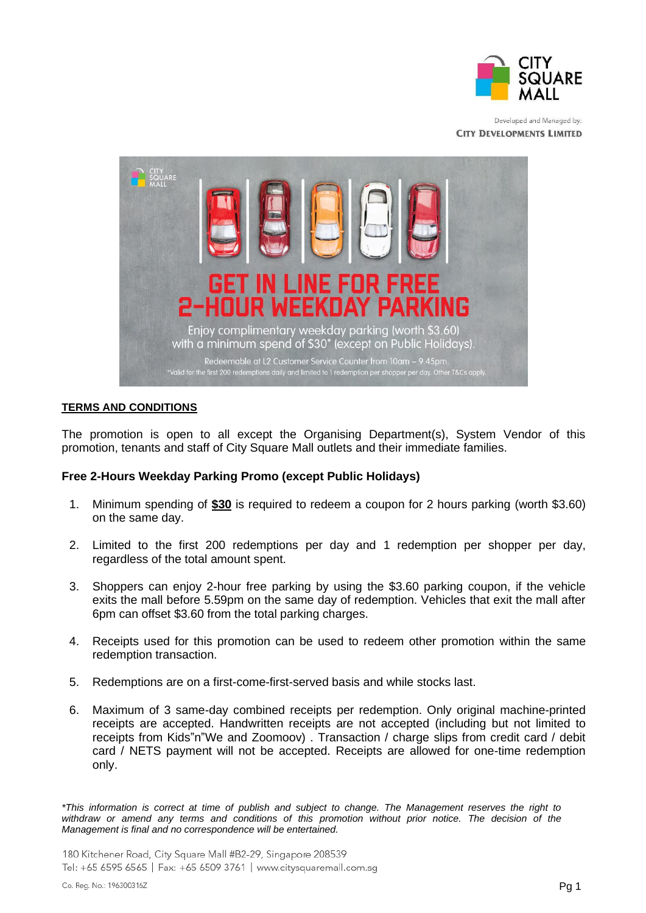

Developed and Managed by: **CITY DEVELOPMENTS LIMITED** 



## **TERMS AND CONDITIONS**

The promotion is open to all except the Organising Department(s), System Vendor of this promotion, tenants and staff of City Square Mall outlets and their immediate families.

## **Free 2-Hours Weekday Parking Promo (except Public Holidays)**

- 1. Minimum spending of **\$30** is required to redeem a coupon for 2 hours parking (worth \$3.60) on the same day.
- 2. Limited to the first 200 redemptions per day and 1 redemption per shopper per day, regardless of the total amount spent.
- 3. Shoppers can enjoy 2-hour free parking by using the \$3.60 parking coupon, if the vehicle exits the mall before 5.59pm on the same day of redemption. Vehicles that exit the mall after 6pm can offset \$3.60 from the total parking charges.
- 4. Receipts used for this promotion can be used to redeem other promotion within the same redemption transaction.
- 5. Redemptions are on a first-come-first-served basis and while stocks last.
- 6. Maximum of 3 same-day combined receipts per redemption. Only original machine-printed receipts are accepted. Handwritten receipts are not accepted (including but not limited to receipts from Kids"n"We and Zoomoov) . Transaction / charge slips from credit card / debit card / NETS payment will not be accepted. Receipts are allowed for one-time redemption only.

*\*This information is correct at time of publish and subject to change. The Management reserves the right to withdraw or amend any terms and conditions of this promotion without prior notice. The decision of the Management is final and no correspondence will be entertained.*

180 Kitchener Road, City Square Mall #B2-29, Singapore 208539 Tel: +65 6595 6565 | Fax: +65 6509 3761 | www.citysquaremall.com.sq